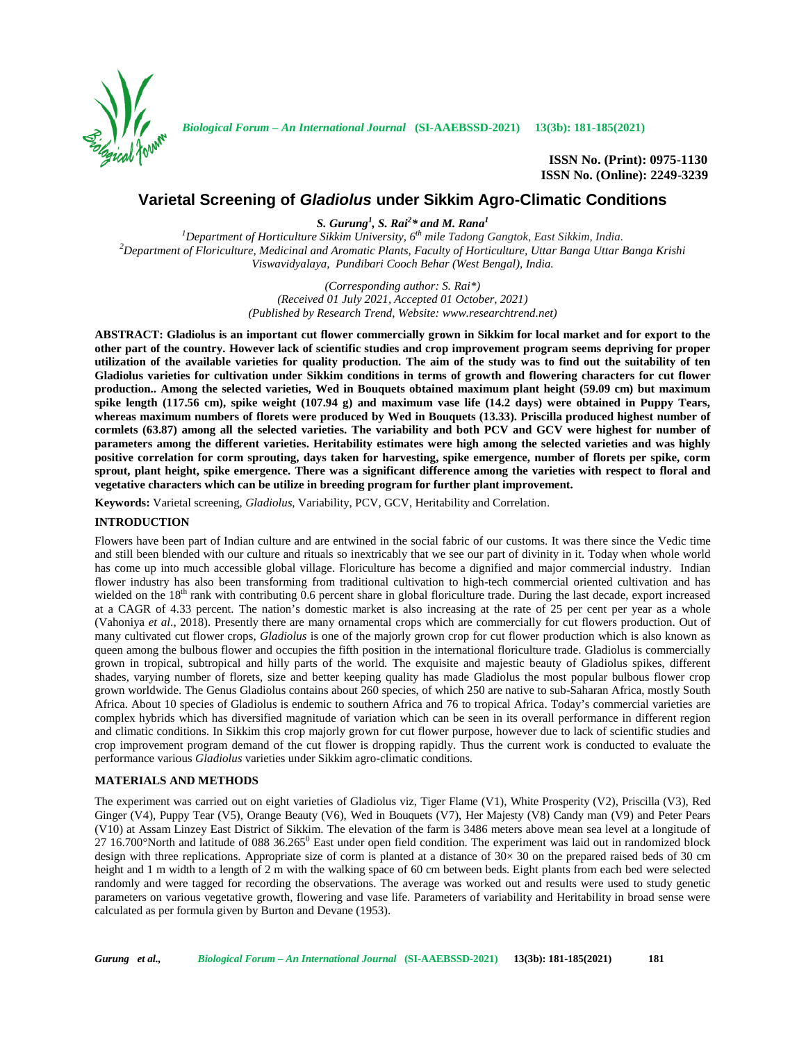

*Biological Forum – An International Journal* **(SI-AAEBSSD-2021) 13(3b): 181-185(2021)**

**ISSN No. (Print): 0975-1130 ISSN No. (Online): 2249-3239**

# **Varietal Screening of** *Gladiolus* **under Sikkim Agro-Climatic Conditions**

*S. Gurung<sup>1</sup> , S. Rai<sup>2</sup>\* and M. Rana<sup>1</sup>*

*<sup>1</sup>Department of Horticulture Sikkim University, 6 th mile Tadong Gangtok, East Sikkim, India. <sup>2</sup>Department of Floriculture, Medicinal and Aromatic Plants, Faculty of Horticulture, Uttar Banga Uttar Banga Krishi Viswavidyalaya, Pundibari Cooch Behar (West Bengal), India.*

> *(Corresponding author: S. Rai\*) (Received 01 July 2021, Accepted 01 October, 2021) (Published by Research Trend, Website: <www.researchtrend.net>)*

**ABSTRACT: Gladiolus is an important cut flower commercially grown in Sikkim for local market and for export to the other part of the country. However lack of scientific studies and crop improvement program seems depriving for proper utilization of the available varieties for quality production. The aim of the study was to find out the suitability of ten Gladiolus varieties for cultivation under Sikkim conditions in terms of growth and flowering characters for cut flower production.. Among the selected varieties, Wed in Bouquets obtained maximum plant height (59.09 cm) but maximum spike length (117.56 cm), spike weight (107.94 g) and maximum vase life (14.2 days) were obtained in Puppy Tears, whereas maximum numbers of florets were produced by Wed in Bouquets (13.33). Priscilla produced highest number of cormlets (63.87) among all the selected varieties. The variability and both PCV and GCV were highest for number of parameters among the different varieties. Heritability estimates were high among the selected varieties and was highly positive correlation for corm sprouting, days taken for harvesting, spike emergence, number of florets per spike, corm sprout, plant height, spike emergence. There was a significant difference among the varieties with respect to floral and vegetative characters which can be utilize in breeding program for further plant improvement.**

**Keywords:** Varietal screening, *Gladiolus*, Variability, PCV, GCV, Heritability and Correlation.

## **INTRODUCTION**

Flowers have been part of Indian culture and are entwined in the social fabric of our customs. It was there since the Vedic time and still been blended with our culture and rituals so inextricably that we see our part of divinity in it. Today when whole world has come up into much accessible global village. Floriculture has become a dignified and major commercial industry. Indian flower industry has also been transforming from traditional cultivation to high-tech commercial oriented cultivation and has wielded on the  $18<sup>th</sup>$  rank with contributing 0.6 percent share in global floriculture trade. During the last decade, export increased at a CAGR of 4.33 percent. The nation's domestic market is also increasing at the rate of 25 per cent per year as a whole (Vahoniya *et al*., 2018). Presently there are many ornamental crops which are commercially for cut flowers production. Out of many cultivated cut flower crops, *Gladiolus* is one of the majorly grown crop for cut flower production which is also known as queen among the bulbous flower and occupies the fifth position in the international floriculture trade. Gladiolus is commercially grown in tropical, subtropical and hilly parts of the world. The exquisite and majestic beauty of Gladiolus spikes, different shades, varying number of florets, size and better keeping quality has made Gladiolus the most popular bulbous flower crop grown worldwide. The Genus Gladiolus contains about 260 species, of which 250 are native to sub-Saharan Africa, mostly South Africa. About 10 species of Gladiolus is endemic to southern Africa and 76 to tropical Africa. Today's commercial varieties are complex hybrids which has diversified magnitude of variation which can be seen in its overall performance in different region and climatic conditions. In Sikkim this crop majorly grown for cut flower purpose, however due to lack of scientific studies and crop improvement program demand of the cut flower is dropping rapidly. Thus the current work is conducted to evaluate the performance various *Gladiolus* varieties under Sikkim agro-climatic conditions.

# **MATERIALS AND METHODS**

The experiment was carried out on eight varieties of Gladiolus viz, Tiger Flame (V1), White Prosperity (V2), Priscilla (V3), Red Ginger (V4), Puppy Tear (V5), Orange Beauty (V6), Wed in Bouquets (V7), Her Majesty (V8) Candy man (V9) and Peter Pears (V10) at Assam Linzey East District of Sikkim. The elevation of the farm is 3486 meters above mean sea level at a longitude of  $27.16.700^{\circ}$ North and latitude of 088 36.265 $^{\circ}$  East under open field condition. The experiment was laid out in randomized block design with three replications. Appropriate size of corm is planted at a distance of  $30 \times 30$  on the prepared raised beds of 30 cm height and 1 m width to a length of 2 m with the walking space of 60 cm between beds. Eight plants from each bed were selected randomly and were tagged for recording the observations. The average was worked out and results were used to study genetic parameters on various vegetative growth, flowering and vase life. Parameters of variability and Heritability in broad sense were calculated as per formula given by Burton and Devane (1953).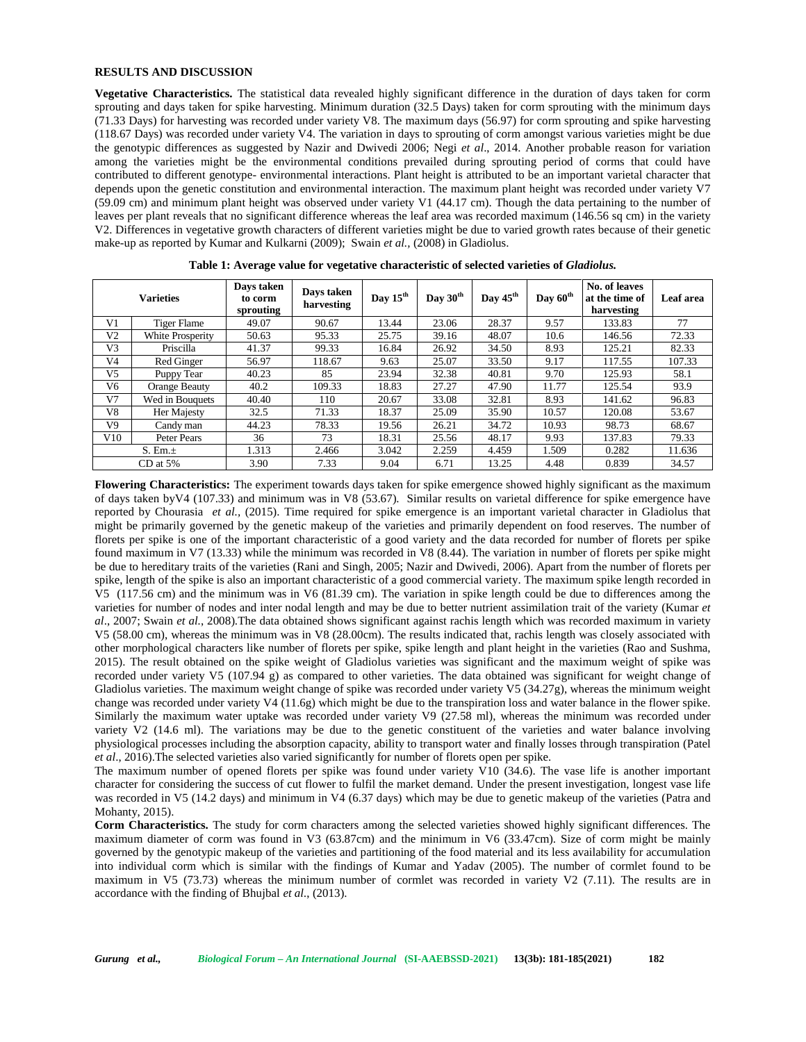#### **RESULTS AND DISCUSSION**

**Vegetative Characteristics.** The statistical data revealed highly significant difference in the duration of days taken for corm sprouting and days taken for spike harvesting. Minimum duration (32.5 Days) taken for corm sprouting with the minimum days (71.33 Days) for harvesting was recorded under variety V8. The maximum days (56.97) for corm sprouting and spike harvesting (118.67 Days) was recorded under variety V4. The variation in days to sprouting of corm amongst various varieties might be due the genotypic differences as suggested by Nazir and Dwivedi 2006; Negi *et al*., 2014. Another probable reason for variation among the varieties might be the environmental conditions prevailed during sprouting period of corms that could have contributed to different genotype- environmental interactions. Plant height is attributed to be an important varietal character that depends upon the genetic constitution and environmental interaction. The maximum plant height was recorded under variety V7 (59.09 cm) and minimum plant height was observed under variety V1 (44.17 cm). Though the data pertaining to the number of leaves per plant reveals that no significant difference whereas the leaf area was recorded maximum (146.56 sq cm) in the variety V2. Differences in vegetative growth characters of different varieties might be due to varied growth rates because of their genetic make-up as reported by Kumar and Kulkarni (2009); Swain *et al.,* (2008) in Gladiolus.

| <b>Varieties</b> |                  | Days taken<br>to corm<br>sprouting | Days taken<br>harvesting | Day $15^{\text{th}}$ | Day $30^{\text{th}}$ | Day $45^{\text{th}}$ | Day $60^{\text{th}}$ | No. of leaves<br>at the time of<br>harvesting | Leaf area |
|------------------|------------------|------------------------------------|--------------------------|----------------------|----------------------|----------------------|----------------------|-----------------------------------------------|-----------|
| V1               | Tiger Flame      | 49.07                              | 90.67                    | 13.44                | 23.06                | 28.37                | 9.57                 | 133.83                                        | 77        |
| V2               | White Prosperity | 50.63                              | 95.33                    | 25.75                | 39.16                | 48.07                | 10.6                 | 146.56                                        | 72.33     |
| V <sub>3</sub>   | Priscilla        | 41.37                              | 99.33                    | 16.84                | 26.92                | 34.50                | 8.93                 | 125.21                                        | 82.33     |
| V <sub>4</sub>   | Red Ginger       | 56.97                              | 118.67                   | 9.63                 | 25.07                | 33.50                | 9.17                 | 117.55                                        | 107.33    |
| V <sub>5</sub>   | Puppy Tear       | 40.23                              | 85                       | 23.94                | 32.38                | 40.81                | 9.70                 | 125.93                                        | 58.1      |
| V6               | Orange Beauty    | 40.2                               | 109.33                   | 18.83                | 27.27                | 47.90                | 11.77                | 125.54                                        | 93.9      |
| V <sub>7</sub>   | Wed in Bouquets  | 40.40                              | 110                      | 20.67                | 33.08                | 32.81                | 8.93                 | 141.62                                        | 96.83     |
| V8               | Her Majesty      | 32.5                               | 71.33                    | 18.37                | 25.09                | 35.90                | 10.57                | 120.08                                        | 53.67     |
| V9               | Candy man        | 44.23                              | 78.33                    | 19.56                | 26.21                | 34.72                | 10.93                | 98.73                                         | 68.67     |
| V10              | Peter Pears      | 36                                 | 73                       | 18.31                | 25.56                | 48.17                | 9.93                 | 137.83                                        | 79.33     |
| S. Em.±          |                  | 1.313                              | 2.466                    | 3.042                | 2.259                | 4.459                | 1.509                | 0.282                                         | 11.636    |
| $CD$ at 5%       |                  | 3.90                               | 7.33                     | 9.04                 | 6.71                 | 13.25                | 4.48                 | 0.839                                         | 34.57     |

**Table 1: Average value for vegetative characteristic of selected varieties of** *Gladiolus.*

**Flowering Characteristics:** The experiment towards days taken for spike emergence showed highly significant as the maximum of days taken byV4 (107.33) and minimum was in V8 (53.67). Similar results on varietal difference for spike emergence have reported by Chourasia *et al.,* (2015). Time required for spike emergence is an important varietal character in Gladiolus that might be primarily governed by the genetic makeup of the varieties and primarily dependent on food reserves. The number of florets per spike is one of the important characteristic of a good variety and the data recorded for number of florets per spike found maximum in V7 (13.33) while the minimum was recorded in V8 (8.44). The variation in number of florets per spike might be due to hereditary traits of the varieties (Rani and Singh, 2005; Nazir and Dwivedi, 2006). Apart from the number of florets per spike, length of the spike is also an important characteristic of a good commercial variety. The maximum spike length recorded in V5 (117.56 cm) and the minimum was in V6 (81.39 cm). The variation in spike length could be due to differences among the varieties for number of nodes and inter nodal length and may be due to better nutrient assimilation trait of the variety (Kumar *et al*., 2007; Swain *et al.*, 2008).The data obtained shows significant against rachis length which was recorded maximum in variety V5 (58.00 cm), whereas the minimum was in V8 (28.00cm). The results indicated that, rachis length was closely associated with other morphological characters like number of florets per spike, spike length and plant height in the varieties (Rao and Sushma, 2015). The result obtained on the spike weight of Gladiolus varieties was significant and the maximum weight of spike was recorded under variety V5 (107.94 g) as compared to other varieties. The data obtained was significant for weight change of Gladiolus varieties. The maximum weight change of spike was recorded under variety V5 (34.27g), whereas the minimum weight change was recorded under variety V4 (11.6g) which might be due to the transpiration loss and water balance in the flower spike. Similarly the maximum water uptake was recorded under variety V9 (27.58 ml), whereas the minimum was recorded under variety V2 (14.6 ml). The variations may be due to the genetic constituent of the varieties and water balance involving physiological processes including the absorption capacity, ability to transport water and finally losses through transpiration (Patel *et al*., 2016).The selected varieties also varied significantly for number of florets open per spike.

The maximum number of opened florets per spike was found under variety V10 (34.6). The vase life is another important character for considering the success of cut flower to fulfil the market demand. Under the present investigation, longest vase life was recorded in V5 (14.2 days) and minimum in V4 (6.37 days) which may be due to genetic makeup of the varieties (Patra and Mohanty, 2015).

**Corm Characteristics.** The study for corm characters among the selected varieties showed highly significant differences. The maximum diameter of corm was found in V3 (63.87cm) and the minimum in V6 (33.47cm). Size of corm might be mainly governed by the genotypic makeup of the varieties and partitioning of the food material and its less availability for accumulation into individual corm which is similar with the findings of Kumar and Yadav (2005). The number of cormlet found to be maximum in V5 (73.73) whereas the minimum number of cormlet was recorded in variety V2 (7.11). The results are in accordance with the finding of Bhujbal *et al.*, (2013).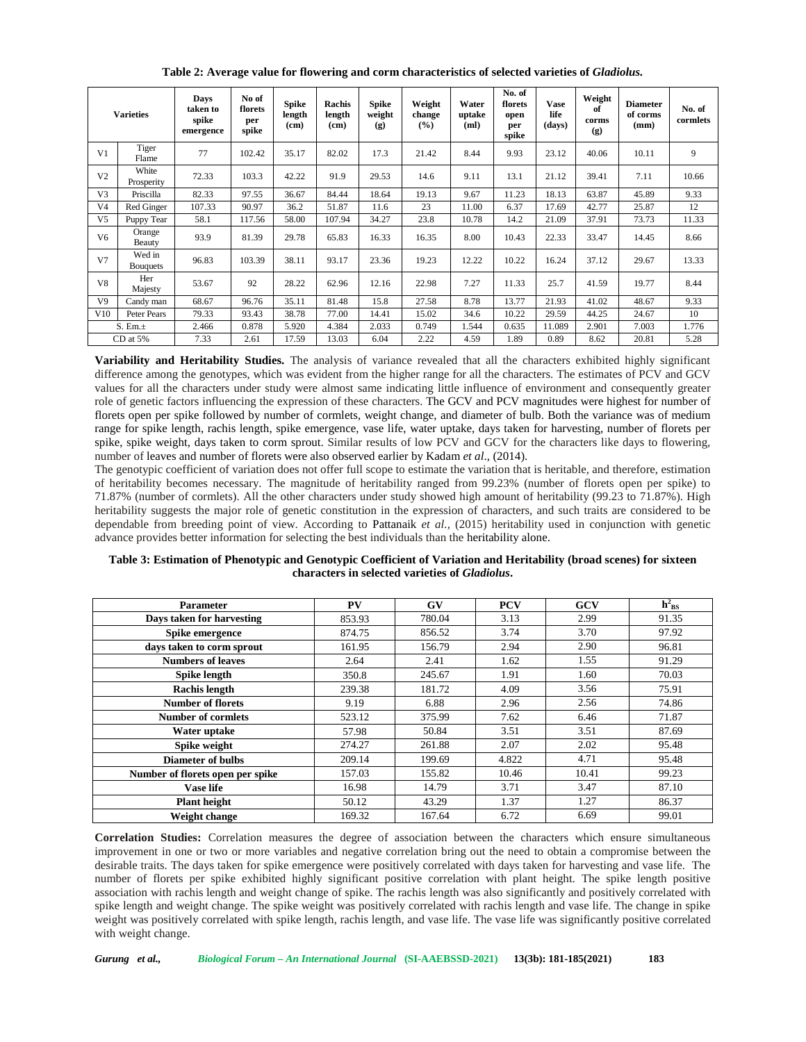| <b>Varieties</b> |                           | Days<br>taken to<br>spike<br>emergence | No of<br>florets<br>per<br>spike | <b>Spike</b><br>length<br>(c <sub>m</sub> ) | <b>Rachis</b><br>length<br>(c <sub>m</sub> ) | <b>Spike</b><br>weight<br>$\left( \mathbf{g} \right)$ | Weight<br>change<br>(%) | Water<br>uptake<br>(ml) | No. of<br>florets<br>open<br>per<br>spike | <b>Vase</b><br>life<br>(days) | Weight<br>of<br>corms<br>(g) | <b>Diameter</b><br>of corms<br>(mm) | No. of<br>cormlets |
|------------------|---------------------------|----------------------------------------|----------------------------------|---------------------------------------------|----------------------------------------------|-------------------------------------------------------|-------------------------|-------------------------|-------------------------------------------|-------------------------------|------------------------------|-------------------------------------|--------------------|
| V <sub>1</sub>   | Tiger<br>Flame            | 77                                     | 102.42                           | 35.17                                       | 82.02                                        | 17.3                                                  | 21.42                   | 8.44                    | 9.93                                      | 23.12                         | 40.06                        | 10.11                               | 9                  |
| V <sub>2</sub>   | White<br>Prosperity       | 72.33                                  | 103.3                            | 42.22                                       | 91.9                                         | 29.53                                                 | 14.6                    | 9.11                    | 13.1                                      | 21.12                         | 39.41                        | 7.11                                | 10.66              |
| V <sub>3</sub>   | Priscilla                 | 82.33                                  | 97.55                            | 36.67                                       | 84.44                                        | 18.64                                                 | 19.13                   | 9.67                    | 11.23                                     | 18.13                         | 63.87                        | 45.89                               | 9.33               |
| V <sub>4</sub>   | Red Ginger                | 107.33                                 | 90.97                            | 36.2                                        | 51.87                                        | 11.6                                                  | 23                      | 11.00                   | 6.37                                      | 17.69                         | 42.77                        | 25.87                               | 12                 |
| V <sub>5</sub>   | Puppy Tear                | 58.1                                   | 117.56                           | 58.00                                       | 107.94                                       | 34.27                                                 | 23.8                    | 10.78                   | 14.2                                      | 21.09                         | 37.91                        | 73.73                               | 11.33              |
| V6               | Orange<br>Beauty          | 93.9                                   | 81.39                            | 29.78                                       | 65.83                                        | 16.33                                                 | 16.35                   | 8.00                    | 10.43                                     | 22.33                         | 33.47                        | 14.45                               | 8.66               |
| V <sub>7</sub>   | Wed in<br><b>Bouquets</b> | 96.83                                  | 103.39                           | 38.11                                       | 93.17                                        | 23.36                                                 | 19.23                   | 12.22                   | 10.22                                     | 16.24                         | 37.12                        | 29.67                               | 13.33              |
| V8               | Her<br>Majesty            | 53.67                                  | 92                               | 28.22                                       | 62.96                                        | 12.16                                                 | 22.98                   | 7.27                    | 11.33                                     | 25.7                          | 41.59                        | 19.77                               | 8.44               |
| V9               | Candy man                 | 68.67                                  | 96.76                            | 35.11                                       | 81.48                                        | 15.8                                                  | 27.58                   | 8.78                    | 13.77                                     | 21.93                         | 41.02                        | 48.67                               | 9.33               |
| V10              | Peter Pears               | 79.33                                  | 93.43                            | 38.78                                       | 77.00                                        | 14.41                                                 | 15.02                   | 34.6                    | 10.22                                     | 29.59                         | 44.25                        | 24.67                               | 10                 |
| S. Em.±          |                           | 2.466                                  | 0.878                            | 5.920                                       | 4.384                                        | 2.033                                                 | 0.749                   | 1.544                   | 0.635                                     | 11.089                        | 2.901                        | 7.003                               | 1.776              |
|                  | $CD$ at $5\%$             | 7.33                                   | 2.61                             | 17.59                                       | 13.03                                        | 6.04                                                  | 2.22                    | 4.59                    | 1.89                                      | 0.89                          | 8.62                         | 20.81                               | 5.28               |

**Table 2: Average value for flowering and corm characteristics of selected varieties of** *Gladiolus.*

**Variability and Heritability Studies.** The analysis of variance revealed that all the characters exhibited highly significant difference among the genotypes, which was evident from the higher range for all the characters. The estimates of PCV and GCV values for all the characters under study were almost same indicating little influence of environment and consequently greater role of genetic factors influencing the expression of these characters. The GCV and PCV magnitudes were highest for number of florets open per spike followed by number of cormlets, weight change, and diameter of bulb. Both the variance was of medium range for spike length, rachis length, spike emergence, vase life, water uptake, days taken for harvesting, number of florets per spike, spike weight, days taken to corm sprout. Similar results of low PCV and GCV for the characters like days to flowering, number of leaves and number of florets were also observed earlier by Kadam *et al*., (2014).

The genotypic coefficient of variation does not offer full scope to estimate the variation that is heritable, and therefore, estimation of heritability becomes necessary. The magnitude of heritability ranged from 99.23% (number of florets open per spike) to 71.87% (number of cormlets). All the other characters under study showed high amount of heritability (99.23 to 71.87%). High heritability suggests the major role of genetic constitution in the expression of characters, and such traits are considered to be dependable from breeding point of view. According to Pattanaik *et al.,* (2015) heritability used in conjunction with genetic advance provides better information for selecting the best individuals than the heritability alone.

| Table 3: Estimation of Phenotypic and Genotypic Coefficient of Variation and Heritability (broad scenes) for sixteen |  |
|----------------------------------------------------------------------------------------------------------------------|--|
| characters in selected varieties of <i>Gladiolus</i> .                                                               |  |

| <b>Parameter</b>                 | PV     | GV     | <b>PCV</b> | GCV   | $h_{BS}^2$ |
|----------------------------------|--------|--------|------------|-------|------------|
| Days taken for harvesting        | 853.93 | 780.04 | 3.13       | 2.99  | 91.35      |
| Spike emergence                  | 874.75 | 856.52 | 3.74       | 3.70  | 97.92      |
| days taken to corm sprout        | 161.95 | 156.79 | 2.94       | 2.90  | 96.81      |
| <b>Numbers of leaves</b>         | 2.64   | 2.41   | 1.62       | 1.55  | 91.29      |
| Spike length                     | 350.8  | 245.67 | 1.91       | 1.60  | 70.03      |
| <b>Rachis length</b>             | 239.38 | 181.72 | 4.09       | 3.56  | 75.91      |
| <b>Number of florets</b>         | 9.19   | 6.88   | 2.96       | 2.56  | 74.86      |
| <b>Number of cormlets</b>        | 523.12 | 375.99 | 7.62       | 6.46  | 71.87      |
| Water uptake                     | 57.98  | 50.84  | 3.51       | 3.51  | 87.69      |
| Spike weight                     | 274.27 | 261.88 | 2.07       | 2.02  | 95.48      |
| Diameter of bulbs                | 209.14 | 199.69 | 4.822      | 4.71  | 95.48      |
| Number of florets open per spike | 157.03 | 155.82 | 10.46      | 10.41 | 99.23      |
| Vase life                        | 16.98  | 14.79  | 3.71       | 3.47  | 87.10      |
| <b>Plant height</b>              | 50.12  | 43.29  | 1.37       | 1.27  | 86.37      |
| Weight change                    | 169.32 | 167.64 | 6.72       | 6.69  | 99.01      |

**Correlation Studies:** Correlation measures the degree of association between the characters which ensure simultaneous improvement in one or two or more variables and negative correlation bring out the need to obtain a compromise between the desirable traits. The days taken for spike emergence were positively correlated with days taken for harvesting and vase life. The number of florets per spike exhibited highly significant positive correlation with plant height. The spike length positive association with rachis length and weight change of spike. The rachis length was also significantly and positively correlated with spike length and weight change. The spike weight was positively correlated with rachis length and vase life. The change in spike weight was positively correlated with spike length, rachis length, and vase life. The vase life was significantly positive correlated with weight change.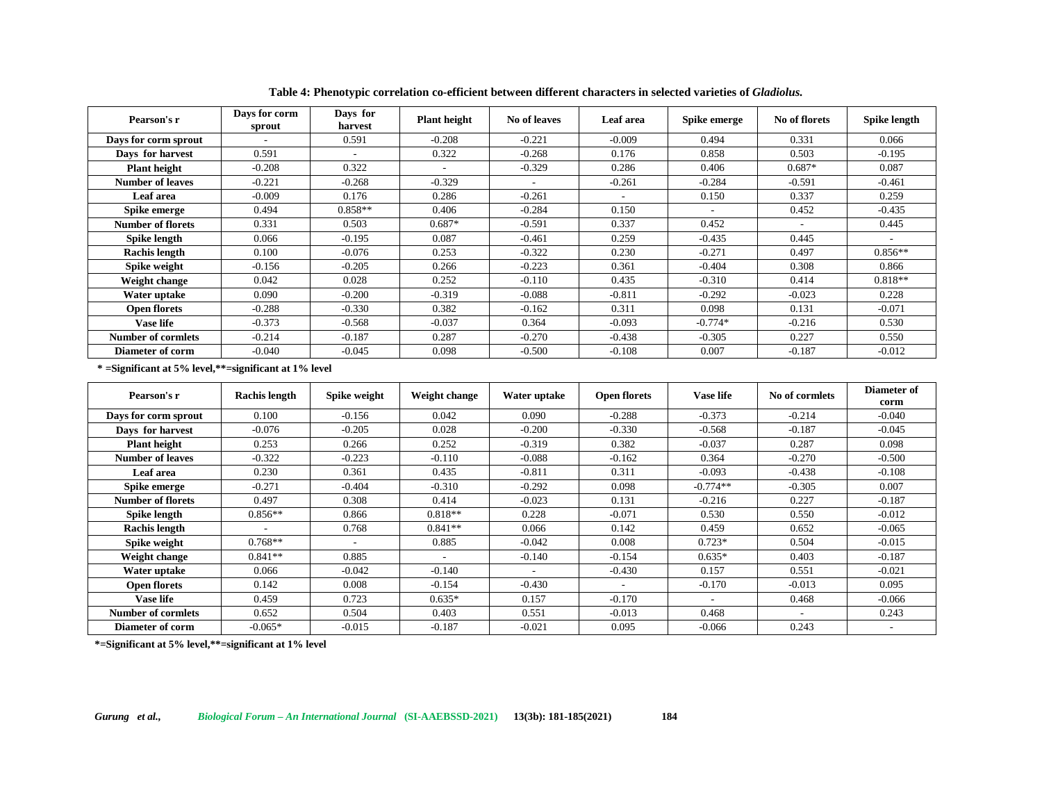| Pearson's r               | Days for corm<br>sprout | Days for<br>harvest | <b>Plant height</b>      | No of leaves | Leaf area | Spike emerge | No of florets | Spike length |
|---------------------------|-------------------------|---------------------|--------------------------|--------------|-----------|--------------|---------------|--------------|
| Days for corm sprout      |                         | 0.591               | $-0.208$                 | $-0.221$     | $-0.009$  | 0.494        | 0.331         | 0.066        |
| Days for harvest          | 0.591                   |                     | 0.322                    | $-0.268$     | 0.176     | 0.858        | 0.503         | $-0.195$     |
| <b>Plant height</b>       | $-0.208$                | 0.322               | $\overline{\phantom{a}}$ | $-0.329$     | 0.286     | 0.406        | $0.687*$      | 0.087        |
| Number of leaves          | $-0.221$                | $-0.268$            | $-0.329$                 | $\sim$       | $-0.261$  | $-0.284$     | $-0.591$      | $-0.461$     |
| Leaf area                 | $-0.009$                | 0.176               | 0.286                    | $-0.261$     |           | 0.150        | 0.337         | 0.259        |
| Spike emerge              | 0.494                   | $0.858**$           | 0.406                    | $-0.284$     | 0.150     |              | 0.452         | $-0.435$     |
| <b>Number of florets</b>  | 0.331                   | 0.503               | $0.687*$                 | $-0.591$     | 0.337     | 0.452        |               | 0.445        |
| Spike length              | 0.066                   | $-0.195$            | 0.087                    | $-0.461$     | 0.259     | $-0.435$     | 0.445         |              |
| Rachis length             | 0.100                   | $-0.076$            | 0.253                    | $-0.322$     | 0.230     | $-0.271$     | 0.497         | $0.856**$    |
| Spike weight              | $-0.156$                | $-0.205$            | 0.266                    | $-0.223$     | 0.361     | $-0.404$     | 0.308         | 0.866        |
| Weight change             | 0.042                   | 0.028               | 0.252                    | $-0.110$     | 0.435     | $-0.310$     | 0.414         | $0.818**$    |
| Water uptake              | 0.090                   | $-0.200$            | $-0.319$                 | $-0.088$     | $-0.811$  | $-0.292$     | $-0.023$      | 0.228        |
| <b>Open florets</b>       | $-0.288$                | $-0.330$            | 0.382                    | $-0.162$     | 0.311     | 0.098        | 0.131         | $-0.071$     |
| <b>Vase life</b>          | $-0.373$                | $-0.568$            | $-0.037$                 | 0.364        | $-0.093$  | $-0.774*$    | $-0.216$      | 0.530        |
| <b>Number of cormlets</b> | $-0.214$                | $-0.187$            | 0.287                    | $-0.270$     | $-0.438$  | $-0.305$     | 0.227         | 0.550        |
| Diameter of corm          | $-0.040$                | $-0.045$            | 0.098                    | $-0.500$     | $-0.108$  | 0.007        | $-0.187$      | $-0.012$     |

**Table 4: Phenotypic correlation co-efficient between different characters in selected varieties of** *Gladiolus.*

**\* =Significant at 5% level,\*\*=significant at 1% level**

| Pearson's r               | <b>Rachis length</b> | Spike weight | Weight change | Water uptake | <b>Open florets</b> | <b>Vase life</b> | No of cormlets | Diameter of<br>corm |
|---------------------------|----------------------|--------------|---------------|--------------|---------------------|------------------|----------------|---------------------|
| Days for corm sprout      | 0.100                | $-0.156$     | 0.042         | 0.090        | $-0.288$            | $-0.373$         | $-0.214$       | $-0.040$            |
| Days for harvest          | $-0.076$             | $-0.205$     | 0.028         | $-0.200$     | $-0.330$            | $-0.568$         | $-0.187$       | $-0.045$            |
| <b>Plant height</b>       | 0.253                | 0.266        | 0.252         | $-0.319$     | 0.382               | $-0.037$         | 0.287          | 0.098               |
| <b>Number of leaves</b>   | $-0.322$             | $-0.223$     | $-0.110$      | $-0.088$     | $-0.162$            | 0.364            | $-0.270$       | $-0.500$            |
| <b>Leaf</b> area          | 0.230                | 0.361        | 0.435         | $-0.811$     | 0.311               | $-0.093$         | $-0.438$       | $-0.108$            |
| Spike emerge              | $-0.271$             | $-0.404$     | $-0.310$      | $-0.292$     | 0.098               | $-0.774**$       | $-0.305$       | 0.007               |
| <b>Number of florets</b>  | 0.497                | 0.308        | 0.414         | $-0.023$     | 0.131               | $-0.216$         | 0.227          | $-0.187$            |
| Spike length              | $0.856**$            | 0.866        | $0.818**$     | 0.228        | $-0.071$            | 0.530            | 0.550          | $-0.012$            |
| Rachis length             |                      | 0.768        | $0.841**$     | 0.066        | 0.142               | 0.459            | 0.652          | $-0.065$            |
| Spike weight              | $0.768**$            |              | 0.885         | $-0.042$     | 0.008               | $0.723*$         | 0.504          | $-0.015$            |
| Weight change             | $0.841**$            | 0.885        |               | $-0.140$     | $-0.154$            | $0.635*$         | 0.403          | $-0.187$            |
| Water uptake              | 0.066                | $-0.042$     | $-0.140$      | ۰.           | $-0.430$            | 0.157            | 0.551          | $-0.021$            |
| <b>Open florets</b>       | 0.142                | 0.008        | $-0.154$      | $-0.430$     |                     | $-0.170$         | $-0.013$       | 0.095               |
| <b>Vase life</b>          | 0.459                | 0.723        | $0.635*$      | 0.157        | $-0.170$            | $\sim$           | 0.468          | $-0.066$            |
| <b>Number of cormlets</b> | 0.652                | 0.504        | 0.403         | 0.551        | $-0.013$            | 0.468            |                | 0.243               |
| <b>Diameter of corm</b>   | $-0.065*$            | $-0.015$     | $-0.187$      | $-0.021$     | 0.095               | $-0.066$         | 0.243          | $\sim$              |

**\*=Significant at 5% level,\*\*=significant at 1% level**